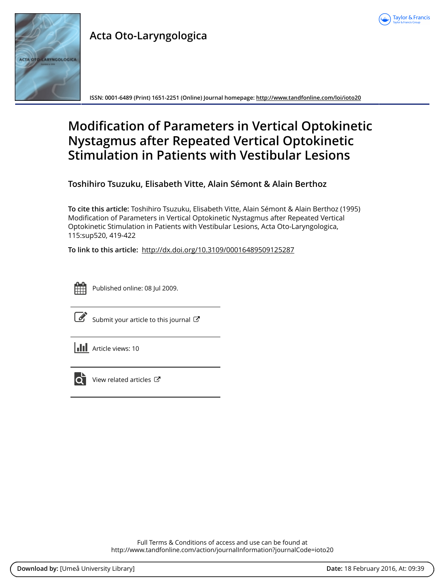

# **Acta Oto-Laryngologica**



**ISSN: 0001-6489 (Print) 1651-2251 (Online) Journal homepage:<http://www.tandfonline.com/loi/ioto20>**

## **Modification of Parameters in Vertical Optokinetic Nystagmus after Repeated Vertical Optokinetic Stimulation in Patients with Vestibular Lesions**

**Toshihiro Tsuzuku, Elisabeth Vitte, Alain Sémont & Alain Berthoz**

**To cite this article:** Toshihiro Tsuzuku, Elisabeth Vitte, Alain Sémont & Alain Berthoz (1995) Modification of Parameters in Vertical Optokinetic Nystagmus after Repeated Vertical Optokinetic Stimulation in Patients with Vestibular Lesions, Acta Oto-Laryngologica, 115:sup520, 419-422

**To link to this article:** <http://dx.doi.org/10.3109/00016489509125287>



Published online: 08 Jul 2009.

[Submit your article to this journal](http://www.tandfonline.com/action/authorSubmission?journalCode=ioto20&page=instructions)  $\mathbb{Z}$ 

**III** Article views: 10



 $\overrightarrow{Q}$  [View related articles](http://www.tandfonline.com/doi/mlt/10.3109/00016489509125287)  $\overrightarrow{C}$ 

Full Terms & Conditions of access and use can be found at <http://www.tandfonline.com/action/journalInformation?journalCode=ioto20>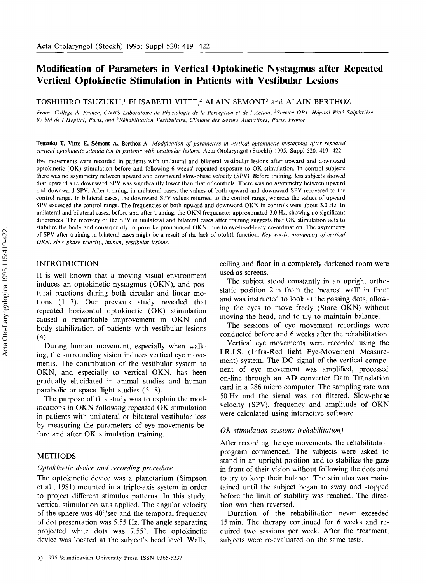## **Modification of Parameters in Vertical Optokinetic Nystagmus after Repeated Vertical Optokinetic Stimulation in Patients with Vestibular Lesions**

TOSHIHIRO TSUZUKU,<sup>1</sup> ELISABETH VITTE,<sup>2</sup> ALAIN SÉMONT<sup>3</sup> and ALAIN BERTHOZ

From <sup>1</sup>Collège de France, CNRS Laboratoire de Physiologie de la Perception et de l'Action, <sup>2</sup>Service ORL Hôpital Pitié-Salpétrière,<br>87 bld de l'Hôpital, Paris, and <sup>3</sup>Réhabilitation Vestibulaire, Clinique des Soeurs Augu

**Tsuzuku** T, **Vitte E, Skmont A, Berthoz A.** *Modijication of parameters in vertical optokinetic nystagmus after repeated vertical optokinetic stimulation in patients with vestibular lesions.* Acta Otolaryngol (Stockh) 1995; Suppl 520: 419-422.

Eye movements were recorded in patients with unilateral and bilateral vestibular lesions after upward and downward optokinetic (OK) stimulation before and following 6 weeks' repeated exposure to OK stimulation. In control subjects there was no asymmetry between upward and downward slow-phase velocity (SPV). Before training, less subjects showed that upward and downward SPV was significantly lower than that of controls. There was no asymmetry between upward and downward SPV. After training, in unilateral cases, the values of both upward and downward SPV recovered to the control range. In bilateral cases, the downward SPV values returned to the control range, whereas the values of upward SPV exceeded the control range. The frequencies of both upward and downward OKN in controls were about 3.0 **Hz.** In unilateral and bilateral cases, before and after training, the OKN frequencies approximated 3.0 **Hz,** showing no significant differences. The recovery of the SPV in unilateral and bilateral cases after training suggests that OK stimulation acts to stabilize the body and consequently to provoke pronounced OKN, due to eye-head-body co-ordination. The asymmetry of SPV after training in bilateral cases might be a result of the lack of otolith function. *Key words: asymmetry of vertical OKN,* slow *phase velocity, human, vestibular lesions* 

## **INTRODUCTION**

It is well known that a moving visual environment induces an optokinetic nystagmus (OKN), and postural reactions during both circular and linear motions ( **1-3).** Our previous study revealed that repeated horizontal optokinetic (OK) stimulation caused a remarkable improvement in OKN and body stabilization of patients with vestibular lesions (4).

During human movement, especially when walking, the surrounding vision induces vertical eye movements. The contribution of the vestibular system to OKN, and especially to vertical OKN, has been gradually elucidated in animal studies and human parabolic or space flight studies  $(5-8)$ .

The purpose of this study was to explain the modifications in OKN following repeated OK stimulation in patients with unilateral or bilateral vestibular loss by measuring the parameters of eye movements before and after OK stimulation training.

## METHODS

### *Optokinetic device and recording procedure*

The optokinetic device was a planetarium (Simpson et al., 1981) mounted in a triple-axis system in order to project different stimulus patterns. In this study, vertical stimulation was applied. The angular velocity of the sphere was  $40^{\circ}/sec$  and the temporal frequency of dot presentation was 5.55 Hz. The angle separating projected white dots was *7.55".* The optokinetic device was located at the subject's head level. Walls,

ceiling and floor in a completely darkened room were used as screens.

The subject stood constantly in an upright orthostatic position 2 m from the 'nearest wall' in front and was instructed to look at the passing dots, allowing the eyes to move freely (Stare OKN) without moving the head, and to try to maintain balance.

The sessions of eye movement recordings were conducted before and 6 weeks after the rehabilitation.

Vertical eye movements were recorded using the I.R.I.S. (Infra-Red light Eye-Movement Measurement) system. The DC signal of the vertical component of eye movement was amplified, processed on-line through an AD converter Data Translation card in a 286 micro computer. The sampling rate was 50Hz and the signal was not filtered. Slow-phase velocity (SPV), frequency and amplitude of OKN were calculated using interactive software.

#### *OK stimulation sessions (rehabilitation)*

After recording the eye movements, the rehabilitation program commenced. The subjects were asked to stand in an upright position and to stabilize the gaze in front of their vision without following the dots and to try to keep their balance. The stimulus was maintained until the subject began to sway and stopped before the limit of stability was reached. The direction was then reversed.

Duration of the rehabilitation never exceeded 15 min. The therapy continued for 6 weeks and required two sessions per week. After the treatment, subjects were re-evaluated on the same tests.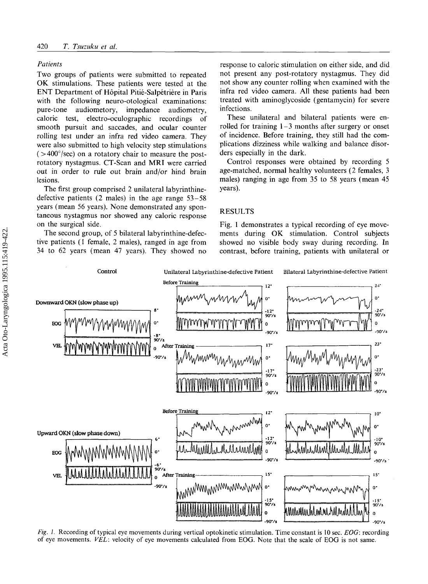#### *Patients*

Two groups of patients were submitted to repeated OK stimulations. These patients were tested at the ENT Department of Hôpital Pitié-Salpétrière in Paris with the following neuro-otological examinations: pure-tone audiometory, impedance audiometry, caloric test, electro-oculographic recordings of smooth pursuit and saccades, and ocular counter rolling test under an infra red video camera. They were also submitted to high velocity step stimulations  $($  >400 $^{\circ}$ /sec) on a rotatory chair to measure the postrotatory nystagmus. CT-Scan and MRI were carried out in order to rule out brain and/or hind brain lesions.

The first group comprised 2 unilateral labyrinthinedefective patients (2 males) in the age range 53-58 years (mean 56 years). None demonstrated any spontaneous nystagmus nor showed any caloric response on the surgical side.

The second group, of 5 bilateral labyrinthine-defective patients (I female, 2 males), ranged in age from 34 to 62 years (mean 47 years). They showed no response to caloric stimulation on either side, and did not present any post-rotatory nystagmus. They did not show any counter rolling when examined with the infra red video camera. **All** these patients had been treated with aminoglycoside (gentamycin) for severe infections.

These unilateral and bilateral patients were enrolled for training  $1-3$  months after surgery or onset of incidence. Before training, they still had the complications dizziness while walking and balance disorders especially in the dark.

Control responses were obtained by recording 5 age-matched, normal healthy volunteers (2 females, 3 males) ranging in age from 35 to 58 years (mean 45 years).

## RESULTS

Fig. 1 demonstrates a typical recording of eye movements during OK stimulation. Control subjects showed no visible body sway during recording. In contrast, before training, patients with unilateral or



*Fig. 1.* Recording of typical eye movements during vertical optokinetic stimulation. Time constant is 10 sec. EOG: recording of eye movements. *VEL:* velocity of eye movements calculated from EOG. Note that the scale of EOG is not same.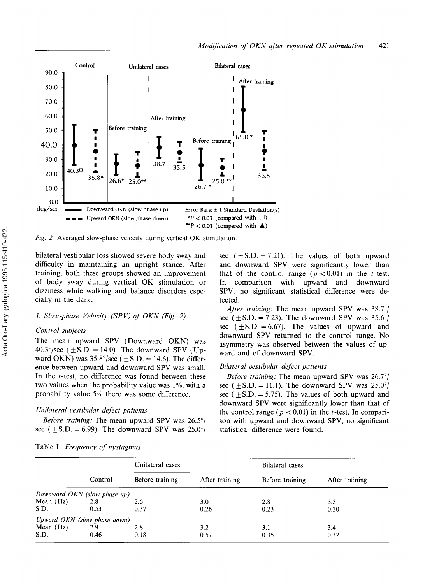

*Fig.* 2. Averaged slow-phase velocity during vertical OK stimulation.

bilateral vestibular loss showed severe body sway and difficulty in maintaining an upright stance. After training, both these groups showed an improvement of body sway during vertical OK stimulation or dizziness while walking and balance disorders especially in the dark.

## *1. Slow-phase Velocity (SPV) of OKN (Fig. 2)*

## *Control subjects*

The mean upward SPV (Downward OKN) was  $40.3^{\circ}/sec$  ( $\pm$  S.D. = 14.0). The downward SPV (Upward OKN) was  $35.8^{\circ}/sec$  ( $\pm$  S.D. = 14.6). The difference between upward and downward SPV was small. In the t-test, no difference was found between these two values when the probability value was 1%; with a probability value *5%* there was some difference.

### *Unilateral vestibular defect patients*

*Before training:* The mean upward SPV was 26.5°/ sec ( $\pm$ S.D. = 6.99). The downward SPV was 25.0°/ sec  $(\pm S.D. = 7.21)$ . The values of both upward and downward SPV were significantly lower than that of the control range  $(p < 0.01)$  in the *t*-test. comparison with upward and downward SPV, no significant statistical difference were detected.

*After training:* The mean upward SPV was 38.7<sup>o</sup>/ sec ( $\pm$ S.D. = 7.23). The downward SPV was 35.6°/ sec  $(\pm S.D. = 6.67)$ . The values of upward and downward SPV returned to the control range. No asymmetry was observed between the values of upward and of downward SPV.

## *Bilateral vestibular defect patients*

*Before training:* The mean upward SPV was 26.7'/ sec ( $\pm$ S.D. = 11.1). The downward SPV was 25.0°/ sec ( $\pm$  S.D. = 5.75). The values of both upward and downward SPV were significantly lower than that of the control range  $(p < 0.01)$  in the *t*-test. In comparison with upward and downward SPV, no significant statistical difference were found.

|           | Control                      | Unilateral cases |                | Bilateral cases |                |
|-----------|------------------------------|------------------|----------------|-----------------|----------------|
|           |                              | Before training  | After training | Before training | After training |
|           | Downward OKN (slow phase up) |                  |                |                 |                |
| Mean (Hz) | 2.8                          | 2.6              | 3.0            | 2.8             | 3.3            |
| S.D.      | 0.53                         | 0.37             | 0.26           | 0.23            | 0.30           |
|           | Upward OKN (slow phase down) |                  |                |                 |                |
| Mean (Hz) | 2.9                          | 2.8              | 3.2            | 3.1             | 3.4            |
| S.D.      | 0.46                         | 0.18             | 0.57           | 0.35            | 0.32           |

Table I. *Frequency of nystagmus*